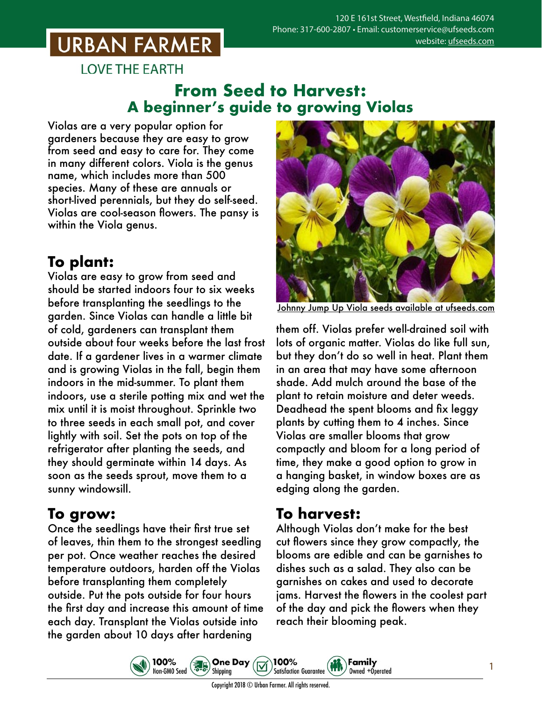## **URBAN FARMER**

**LOVE THE EARTH** 

#### **From Seed to Harvest: A beginner's guide to growing Violas**

Violas are a very popular option for gardeners because they are easy to grow from seed and easy to care for. They come in many different colors. Viola is the genus name, which includes more than 500 species. Many of these are annuals or short-lived perennials, but they do self-seed. Violas are cool-season flowers. The pansy is within the Viola genus.

### **To plant:**

Violas are easy to grow from seed and should be started indoors four to six weeks before transplanting the seedlings to the garden. Since Violas can handle a little bit of cold, gardeners can transplant them outside about four weeks before the last frost date. If a gardener lives in a warmer climate and is growing Violas in the fall, begin them indoors in the mid-summer. To plant them indoors, use a sterile potting mix and wet the mix until it is moist throughout. Sprinkle two to three seeds in each small pot, and cover lightly with soil. Set the pots on top of the refrigerator after planting the seeds, and they should germinate within 14 days. As soon as the seeds sprout, move them to a sunny windowsill.

#### **To grow:**

Once the seedlings have their first true set of leaves, thin them to the strongest seedling per pot. Once weather reaches the desired temperature outdoors, harden off the Violas before transplanting them completely outside. Put the pots outside for four hours the first day and increase this amount of time each day. Transplant the Violas outside into the garden about 10 days after hardening

100%

Non-GMO Seed



Johnny Jump Up Viola seeds [available at ufseeds.com](https://www.ufseeds.com/product-category/flowers/viola/)

them off. Violas prefer well-drained soil with lots of organic matter. Violas do like full sun, but they don't do so well in heat. Plant them in an area that may have some afternoon shade. Add mulch around the base of the plant to retain moisture and deter weeds. Deadhead the spent blooms and fix leggy plants by cutting them to 4 inches. Since Violas are smaller blooms that grow compactly and bloom for a long period of time, they make a good option to grow in a hanging basket, in window boxes are as edging along the garden.

#### **To harvest:**

Although Violas don't make for the best cut flowers since they grow compactly, the blooms are edible and can be garnishes to dishes such as a salad. They also can be garnishes on cakes and used to decorate jams. Harvest the flowers in the coolest part of the day and pick the flowers when they reach their blooming peak.

Family

Owned +Operated



**One Day** 

Shipping

 $\left(\frac{1}{6}\right)$ 

100%

**Satisfaction Guarantee**